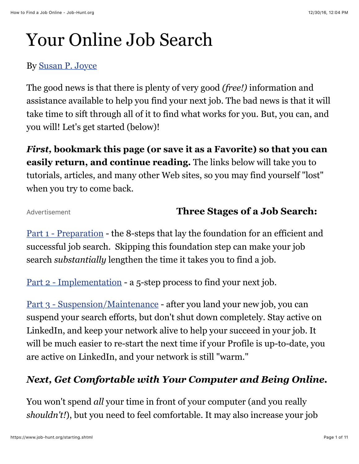# Your Online Job Search

### By [Susan P. Joyce](https://www.job-hunt.org/onlinejobsearchguide/online-job-search-expert-Susan-P-Joyce.shtml)

The good news is that there is plenty of very good *(free!)* information and assistance available to help you find your next job. The bad news is that it will take time to sift through all of it to find what works for you. But, you can, and you will! Let's get started (below)!

*First,* **bookmark this page (or save it as a Favorite) so that you can easily return, and continue reading.** The links below will take you to tutorials, articles, and many other Web sites, so you may find yourself "lost" when you try to come back.

Advertisement

## **Three Stages of a Job Search:**

[Part 1 - Preparation](https://www.job-hunt.org/job-search-tutorial/part-1-job-search-tutorial-getting-help.shtml) - the 8-steps that lay the foundation for an efficient and successful job search. Skipping this foundation step can make your job search *substantially* lengthen the time it takes you to find a job.

[Part 2 - Implementation](https://www.job-hunt.org/job-search-tutorial/part-2-job-search-tutorial.shtml) - a 5-step process to find your next job.

[Part 3 - Suspension/Maintenance](https://www.job-hunt.org/job-search-tutorial/part-3-job-search-tutorial.shtml) - after you land your new job, you can suspend your search efforts, but don't shut down completely. Stay active on LinkedIn, and keep your network alive to help your succeed in your job. It will be much easier to re-start the next time if your Profile is up-to-date, you are active on LinkedIn, and your network is still "warm."

# *Next, Get Comfortable with Your Computer and Being Online.*

You won't spend *all* your time in front of your computer (and you really *shouldn't!*), but you need to feel comfortable. It may also increase your job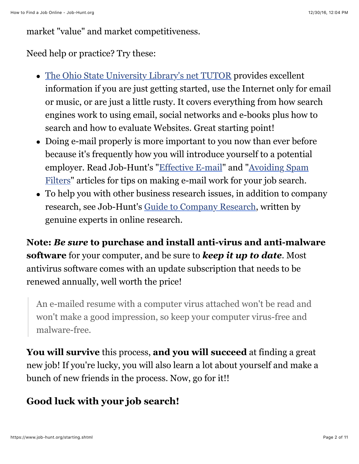market "value" and market competitiveness.

Need help or practice? Try these:

- [The Ohio State University Library's net TUTOR](http://liblearn.osu.edu/tutor/webbasics/index.html) provides excellent information if you are just getting started, use the Internet only for email or music, or are just a little rusty. It covers everything from how search engines work to using email, social networks and e-books plus how to search and how to evaluate Websites. Great starting point!
- Doing e-mail properly is more important to you now than ever before because it's frequently how you will introduce yourself to a potential [employer. Read Job-Hunt's "E](https://www.job-hunt.org/article_antispam.shtml)[ffective E-mail](https://www.job-hunt.org/onlinejobsearchguide/article_makingemailwork.shtml)[" and "Avoiding Spam](https://www.job-hunt.org/article_antispam.shtml) Filters" articles for tips on making e-mail work for your job search.
- To help you with other business research issues, in addition to company research, see Job-Hunt's [Guide to Company Research](https://www.job-hunt.org/company_research/article_company_research.shtml), written by genuine experts in online research.

**Note:** *Be sure* **to purchase and install anti-virus and anti-malware software** for your computer, and be sure to *keep it up to date*. Most antivirus software comes with an update subscription that needs to be renewed annually, well worth the price!

An e-mailed resume with a computer virus attached won't be read and won't make a good impression, so keep your computer virus-free and malware-free.

**You will survive** this process, **and you will succeed** at finding a great new job! If you're lucky, you will also learn a lot about yourself and make a bunch of new friends in the process. Now, go for it!!

# **Good luck with your job search!**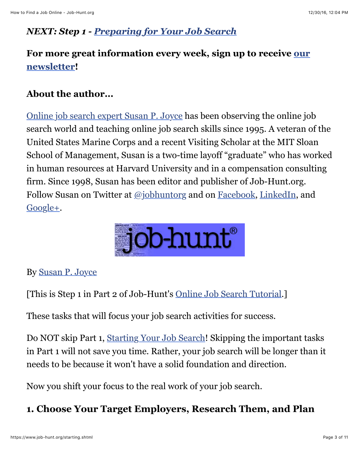## *NEXT: Step 1 - [Preparing for Your Job Search](https://www.job-hunt.org/job-search-tutorial/part-1-job-search-tutorial-getting-help.shtml)*

## **[For more great information every week, sign up to receive our](https://www.job-hunt.org/subscribe-newsletter.shtml) newsletter!**

## **About the author...**

[Online job search expert Susan P. Joyce](https://www.job-hunt.org/onlinejobsearchguide/online-job-search-expert-Susan-P-Joyce.shtml) has been observing the online job search world and teaching online job search skills since 1995. A veteran of the United States Marine Corps and a recent Visiting Scholar at the MIT Sloan School of Management, Susan is a two-time layoff "graduate" who has worked in human resources at Harvard University and in a compensation consulting firm. Since 1998, Susan has been editor and publisher of Job-Hunt.org. Follow Susan on Twitter at [@jobhuntorg](http://twitter.com/jobhuntorg) and on [Facebook,](https://www.facebook.com/JobHuntOrg) [LinkedIn,](https://www.linkedin.com/today/author/780585) and [Google+.](https://plus.google.com/102470102360947259366/?rel=author)



#### By [Susan P. Joyce](https://www.job-hunt.org/onlinejobsearchguide/online-job-search-expert-Susan-P-Joyce.shtml)

[This is Step 1 in Part 2 of Job-Hunt's [Online Job Search Tutorial](https://www.job-hunt.org/starting.shtml).]

These tasks that will focus your job search activities for success.

Do NOT skip Part 1, [Starting Your Job Search](https://www.job-hunt.org/job-search-tutorial/part-1-job-search-tutorial-getting-help.shtml)! Skipping the important tasks in Part 1 will not save you time. Rather, your job search will be longer than it needs to be because it won't have a solid foundation and direction.

Now you shift your focus to the real work of your job search.

## **1. Choose Your Target Employers, Research Them, and Plan**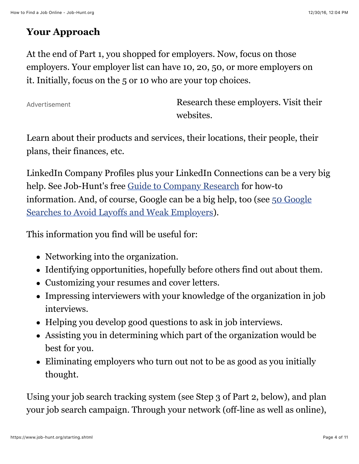## **Your Approach**

At the end of Part 1, you shopped for employers. Now, focus on those employers. Your employer list can have 10, 20, 50, or more employers on it. Initially, focus on the 5 or 10 who are your top choices.

Advertisement

Research these employers. Visit their websites.

Learn about their products and services, their locations, their people, their plans, their finances, etc.

LinkedIn Company Profiles plus your LinkedIn Connections can be a very big help. See Job-Hunt's free [Guide to Company Research](https://www.job-hunt.org/company_research/company-research.shtml) for how-to [information. And, of course, Google can be a big help, too \(see 50 Google](https://www.job-hunt.org/guides/google/google-for-layoff-avoidance.shtml) Searches to Avoid Layoffs and Weak Employers).

This information you find will be useful for:

- Networking into the organization.
- Identifying opportunities, hopefully before others find out about them.
- Customizing your resumes and cover letters.
- Impressing interviewers with your knowledge of the organization in job interviews.
- Helping you develop good questions to ask in job interviews.
- Assisting you in determining which part of the organization would be best for you.
- Eliminating employers who turn out not to be as good as you initially thought.

Using your job search tracking system (see Step 3 of Part 2, below), and plan your job search campaign. Through your network (off-line as well as online),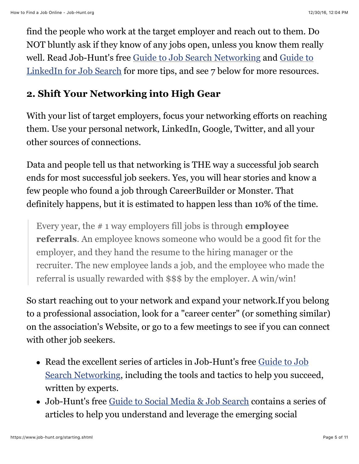find the people who work at the target employer and reach out to them. Do NOT bluntly ask if they know of any jobs open, unless you know them really [well. Read Job-Hunt's free G](https://www.job-hunt.org/social-networking/LinkedIn-job-search/LinkedIn-job-search.shtml)[uide to Job Search Networkin](https://www.job-hunt.org/job-search-networking/networking.shtml)[g and Guide to](https://www.job-hunt.org/social-networking/LinkedIn-job-search/LinkedIn-job-search.shtml) LinkedIn for Job Search for more tips, and see 7 below for more resources.

## **2. Shift Your Networking into High Gear**

With your list of target employers, focus your networking efforts on reaching them. Use your personal network, LinkedIn, Google, Twitter, and all your other sources of connections.

Data and people tell us that networking is THE way a successful job search ends for most successful job seekers. Yes, you will hear stories and know a few people who found a job through CareerBuilder or Monster. That definitely happens, but it is estimated to happen less than 10% of the time.

Every year, the # 1 way employers fill jobs is through **employee referrals**. An employee knows someone who would be a good fit for the employer, and they hand the resume to the hiring manager or the recruiter. The new employee lands a job, and the employee who made the referral is usually rewarded with \$\$\$ by the employer. A win/win!

So start reaching out to your network and expand your network.If you belong to a professional association, look for a "career center" (or something similar) on the association's Website, or go to a few meetings to see if you can connect with other job seekers.

- [Read the excellent series of articles in Job-Hunt's free Guide to Job](https://www.job-hunt.org/job-search-networking/networking.shtml) Search Networking, including the tools and tactics to help you succeed, written by experts.
- Job-Hunt's free [Guide to Social Media & Job Search](https://www.job-hunt.org/social-networking/social-media.shtml) contains a series of articles to help you understand and leverage the emerging social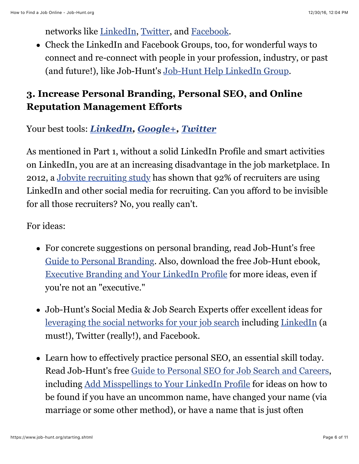networks like [LinkedIn](https://www.job-hunt.org/social-networking/LinkedIn-job-search/LinkedIn-job-search.shtml), [Twitter](https://www.job-hunt.org/social-networking/twitter-job-search.shtml), and [Facebook](https://www.job-hunt.org/social-networking/facebook-job-search/facebook-job-search.shtml).

Check the LinkedIn and Facebook Groups, too, for wonderful ways to connect and re-connect with people in your profession, industry, or past (and future!), like Job-Hunt's [Job-Hunt Help LinkedIn Group](http://www.linkedin.com/groups?homeNewMember=&gid=1713867).

## **3. Increase Personal Branding, Personal SEO, and Online Reputation Management Efforts**

Your best tools: *[LinkedIn,](http://www.linkedin.com/) [Google+](http://plus.google.com/), [Twitter](http://twitter.com/)*

As mentioned in Part 1, without a solid LinkedIn Profile and smart activities on LinkedIn, you are at an increasing disadvantage in the job marketplace. In 2012, a [Jobvite recruiting study](http://recruiting.jobvite.com/company/press-releases/2012/jobvite-social-recruiting-survey-2012/) has shown that 92% of recruiters are using LinkedIn and other social media for recruiting. Can you afford to be invisible for all those recruiters? No, you really can't.

For ideas:

- For concrete suggestions on personal branding, read Job-Hunt's free [Guide to Personal Branding.](https://www.job-hunt.org/personal-branding/personal-branding.shtml) Also, download the free Job-Hunt ebook, [Executive Branding and Your LinkedIn Profile](https://www.job-hunt.org/guides/Job-Hunt-LinkedInEbook.pdf) for more ideas, even if you're not an "executive."
- Job-Hunt's Social Media & Job Search Experts offer excellent ideas for [leveraging the social networks for your job search](https://www.job-hunt.org/social-networking/social-media.shtml) including [LinkedIn](https://www.job-hunt.org/social-networking/LinkedIn-job-search/LinkedIn-job-search.shtml) (a must!), Twitter (really!), and Facebook.
- Learn how to effectively practice personal SEO, an essential skill today. Read Job-Hunt's free [Guide to Personal SEO for Job Search and Careers](https://www.job-hunt.org/personal-SEO/personal-SEO.shtml), including [Add Misspellings to Your LinkedIn Profile](https://www.job-hunt.org/social-networking/LinkedIn-job-search/add-misspellings-to-your-linkedin-profile.shtml) for ideas on how to be found if you have an uncommon name, have changed your name (via marriage or some other method), or have a name that is just often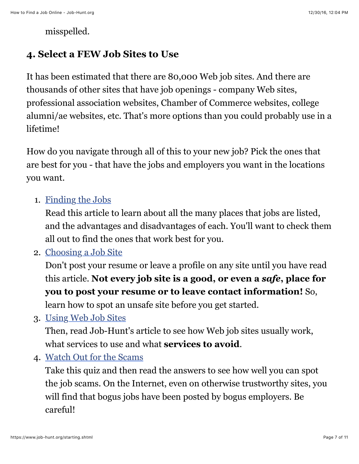misspelled.

#### **4. Select a FEW Job Sites to Use**

It has been estimated that there are 80,000 Web job sites. And there are thousands of other sites that have job openings - company Web sites, professional association websites, Chamber of Commerce websites, college alumni/ae websites, etc. That's more options than you could probably use in a lifetime!

How do you navigate through all of this to your new job? Pick the ones that are best for you - that have the jobs and employers you want in the locations you want.

1. [Finding the Jobs](https://www.job-hunt.org/findingjobs.shtml)

Read this article to learn about all the many places that jobs are listed, and the advantages and disadvantages of each. You'll want to check them all out to find the ones that work best for you.

2. [Choosing a Job Site](https://www.job-hunt.org/choosing.shtml)

Don't post your resume or leave a profile on any site until you have read this article. **Not every job site is a good, or even a** *safe***, place for you to post your resume or to leave contact information!** So,

learn how to spot an unsafe site before you get started.

3. [Using Web Job Sites](https://www.job-hunt.org/jobsearchusing.shtml)

Then, read Job-Hunt's article to see how Web job sites usually work, what services to use and what **services to avoid**.

4. [Watch Out for the Scams](https://www.job-hunt.org/onlinejobsearchguide/article_scam-proof.shtml)

Take this quiz and then read the answers to see how well you can spot the job scams. On the Internet, even on otherwise trustworthy sites, you will find that bogus jobs have been posted by bogus employers. Be careful!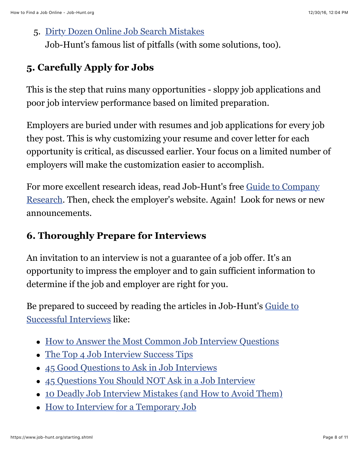#### 5. [Dirty Dozen Online Job Search Mistakes](https://www.job-hunt.org/jobsearchmistakes.shtml)

Job-Hunt's famous list of pitfalls (with some solutions, too).

# **5. Carefully Apply for Jobs**

This is the step that ruins many opportunities - sloppy job applications and poor job interview performance based on limited preparation.

Employers are buried under with resumes and job applications for every job they post. This is why customizing your resume and cover letter for each opportunity is critical, as discussed earlier. Your focus on a limited number of employers will make the customization easier to accomplish.

[For more excellent research ideas, read Job-Hunt's free Guide to Company](https://www.job-hunt.org/company_research/article_company_research.shtml) Research. Then, check the employer's website. Again! Look for news or new announcements.

# **6. Thoroughly Prepare for Interviews**

An invitation to an interview is not a guarantee of a job offer. It's an opportunity to impress the employer and to gain sufficient information to determine if the job and employer are right for you.

[Be prepared to succeed by reading the articles in Job-Hunt's Guide to](https://www.job-hunt.org/job_interviews/job-interviewing.shtml) Successful Interviews like:

- [How to Answer the Most Common Job Interview Questions](https://www.job-hunt.org/job_interviews/common-job-interview-questions.shtml)
- [The Top 4 Job Interview Success Tips](https://www.job-hunt.org/job_interviews/interview-success-secrets.shtml)
- [45 Good Questions to Ask in Job Interviews](https://www.job-hunt.org/onlinejobsearchguide/article_job_interview_questions.shtml)
- [45 Questions You Should NOT Ask in a Job Interview](https://www.job-hunt.org/job_interviews/avoid-asking-bad-questions.shtml)
- [10 Deadly Job Interview Mistakes \(and How to Avoid Them\)](https://www.job-hunt.org/job_interviews/avoid-interview-mistakes.shtml)
- [How to Interview for a Temporary Job](https://www.job-hunt.org/temporary-work/job-interviews-temp-job.shtml)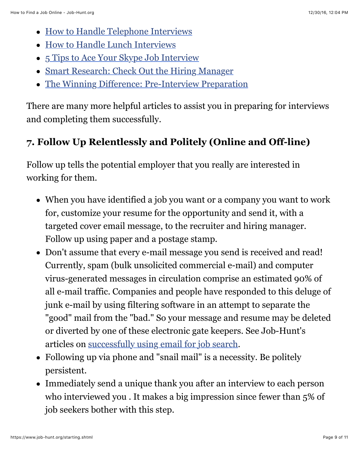- [How to Handle Telephone Interviews](https://www.job-hunt.org/job_interviews/telephone-interviews.shtml)
- [How to Handle Lunch Interviews](https://www.job-hunt.org/job_interviews/handling-lunch-interviews.shtml)
- [5 Tips to Ace Your Skype Job Interview](https://www.job-hunt.org/IT-job-search/skype-job-interview.shtml)
- [Smart Research: Check Out the Hiring Manager](https://www.job-hunt.org/IT-job-search/research-hiring-manager.shtml)
- [The Winning Difference: Pre-Interview Preparation](https://www.job-hunt.org/job_interviews/pre-interview-preparation.shtml)

There are many more helpful articles to assist you in preparing for interviews and completing them successfully.

# **7. Follow Up Relentlessly and Politely (Online and Off-line)**

Follow up tells the potential employer that you really are interested in working for them.

- When you have identified a job you want or a company you want to work for, customize your resume for the opportunity and send it, with a targeted cover email message, to the recruiter and hiring manager. Follow up using paper and a postage stamp.
- Don't assume that every e-mail message you send is received and read! Currently, spam (bulk unsolicited commercial e-mail) and computer virus-generated messages in circulation comprise an estimated 90% of all e-mail traffic. Companies and people have responded to this deluge of junk e-mail by using filtering software in an attempt to separate the "good" mail from the "bad." So your message and resume may be deleted or diverted by one of these electronic gate keepers. See Job-Hunt's articles on [successfully using email for job search](https://www.job-hunt.org/article_antispam.shtml).
- Following up via phone and "snail mail" is a necessity. Be politely persistent.
- Immediately send a unique thank you after an interview to each person who interviewed you . It makes a big impression since fewer than 5% of job seekers bother with this step.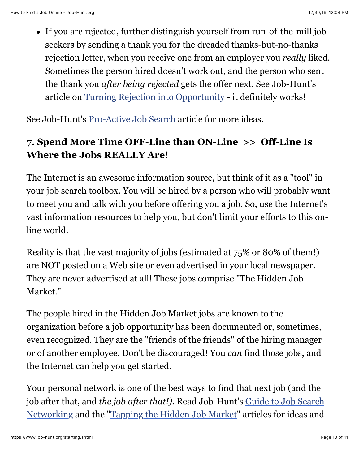If you are rejected, further distinguish yourself from run-of-the-mill job seekers by sending a thank you for the dreaded thanks-but-no-thanks rejection letter, when you receive one from an employer you *really* liked. Sometimes the person hired doesn't work out, and the person who sent the thank you *after being rejected* gets the offer next. See Job-Hunt's article on [Turning Rejection into Opportunity](https://www.job-hunt.org/onlinejobsearchguide/article_rejection-into-opportunity.shtml) - it definitely works!

See Job-Hunt's [Pro-Active Job Search](https://www.job-hunt.org/article_proactive_job_search.shtml) article for more ideas.

# **7. Spend More Time OFF-Line than ON-Line >> Off-Line Is Where the Jobs REALLY Are!**

The Internet is an awesome information source, but think of it as a "tool" in your job search toolbox. You will be hired by a person who will probably want to meet you and talk with you before offering you a job. So, use the Internet's vast information resources to help you, but don't limit your efforts to this online world.

Reality is that the vast majority of jobs (estimated at 75% or 80% of them!) are NOT posted on a Web site or even advertised in your local newspaper. They are never advertised at all! These jobs comprise "The Hidden Job Market."

The people hired in the Hidden Job Market jobs are known to the organization before a job opportunity has been documented or, sometimes, even recognized. They are the "friends of the friends" of the hiring manager or of another employee. Don't be discouraged! You *can* find those jobs, and the Internet can help you get started.

Your personal network is one of the best ways to find that next job (and the job after that, and *the job after that!).* Read Job-Hunt's Guide to Job Search [Networking and the "Tapping the Hidden Job Market" articles for ideas and](https://www.job-hunt.org/job-search-networking/networking.shtml)